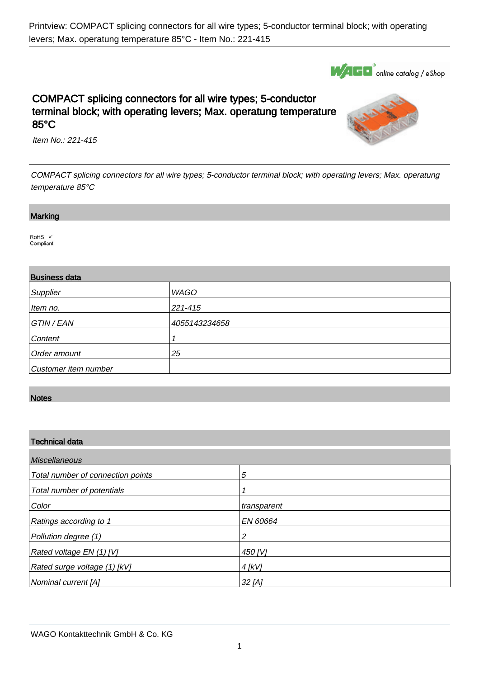

# COMPACT splicing connectors for all wire types; 5-conductor terminal block; with operating levers; Max. operatung temperature 85°C



Item No.: 221-415

COMPACT splicing connectors for all wire types; 5-conductor terminal block; with operating levers; Max. operatung temperature 85°C

#### **Marking**

.

.

 $RoHS$   $\checkmark$ Compliant

## Business data

| <b>DUOILICOO UGIG</b> |               |  |  |  |
|-----------------------|---------------|--|--|--|
| Supplier              | <b>WAGO</b>   |  |  |  |
| Item no.              | 221-415       |  |  |  |
| GTIN / EAN            | 4055143234658 |  |  |  |
| Content               |               |  |  |  |
| Order amount          | 25            |  |  |  |
| Customer item number  |               |  |  |  |

## **Notes**

.

#### Technical data

| <b>Miscellaneous</b>              |             |  |  |  |
|-----------------------------------|-------------|--|--|--|
| Total number of connection points | 5           |  |  |  |
| Total number of potentials        |             |  |  |  |
| Color                             | transparent |  |  |  |
| Ratings according to 1            | EN 60664    |  |  |  |
| Pollution degree (1)              | 2           |  |  |  |
| Rated voltage EN (1) [V]          | 450 [V]     |  |  |  |
| Rated surge voltage (1) [kV]      | $4$ [kV]    |  |  |  |
| Nominal current [A]               | $32$ [A]    |  |  |  |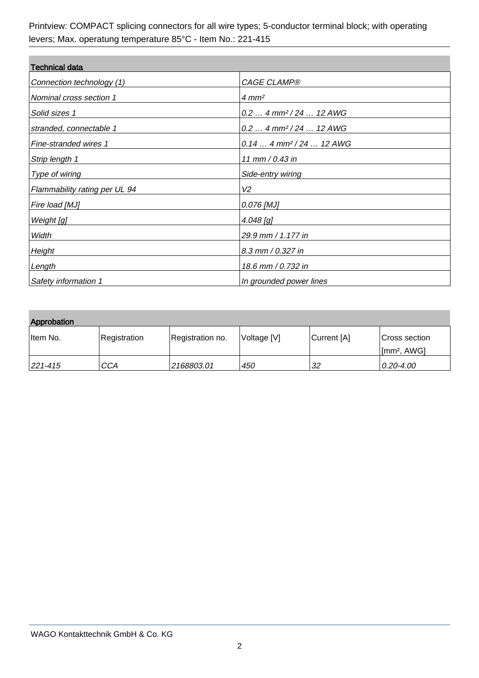| <b>Technical data</b>         |                                      |  |  |  |
|-------------------------------|--------------------------------------|--|--|--|
| Connection technology (1)     | <b>CAGE CLAMP®</b>                   |  |  |  |
| Nominal cross section 1       | $4 \, \text{mm}^2$                   |  |  |  |
| Solid sizes 1                 | $0.2$ 4 mm <sup>2</sup> /24  12 AWG  |  |  |  |
| stranded, connectable 1       | $0.2$ 4 mm <sup>2</sup> /24  12 AWG  |  |  |  |
| Fine-stranded wires 1         | $0.144$ mm <sup>2</sup> / 24  12 AWG |  |  |  |
| Strip length 1                | 11 mm / 0.43 in                      |  |  |  |
| Type of wiring                | Side-entry wiring                    |  |  |  |
| Flammability rating per UL 94 | V2                                   |  |  |  |
| Fire load [MJ]                | 0.076 [MJ]                           |  |  |  |
| Weight [g]                    | $4.048$ [g]                          |  |  |  |
| Width                         | 29.9 mm / 1.177 in                   |  |  |  |
| Height                        | 8.3 mm / 0.327 in                    |  |  |  |
| Length                        | 18.6 mm / 0.732 in                   |  |  |  |
| Safety information 1          | In grounded power lines              |  |  |  |

| Approbation |              |                  |             |             |                                          |  |  |  |  |
|-------------|--------------|------------------|-------------|-------------|------------------------------------------|--|--|--|--|
| ⊺ltem No.   | Registration | Registration no. | Voltage [V] | Current [A] | Cross section<br>[mm <sup>2</sup> , AWG] |  |  |  |  |
| 221-415     | CCA          | 2168803.01       | 450         | 32          | $0.20 - 4.00$                            |  |  |  |  |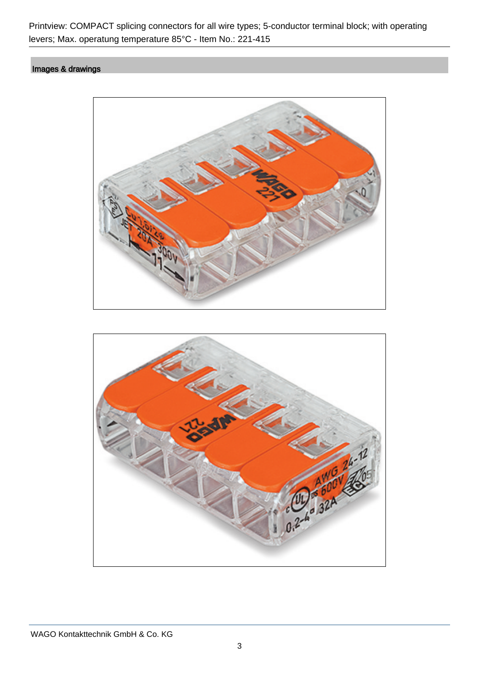# Images & drawings